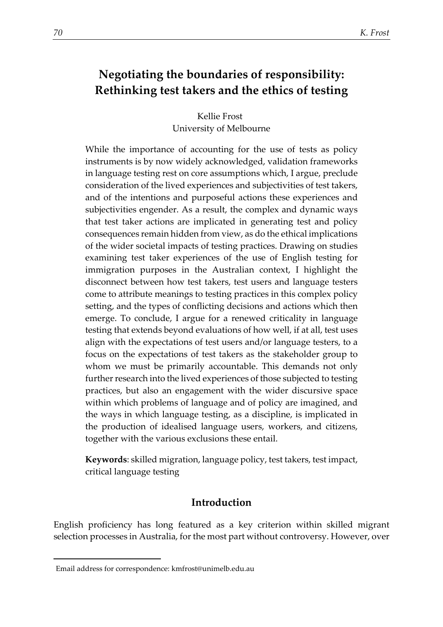# **Negotiating the boundaries of responsibility: Rethinking test takers and the ethics of testing**

Kellie Frost University of Melbourne

While the importance of accounting for the use of tests as policy instruments is by now widely acknowledged, validation frameworks in language testing rest on core assumptions which, I argue, preclude consideration of the lived experiences and subjectivities of test takers, and of the intentions and purposeful actions these experiences and subjectivities engender. As a result, the complex and dynamic ways that test taker actions are implicated in generating test and policy consequences remain hidden from view, as do the ethical implications of the wider societal impacts of testing practices. Drawing on studies examining test taker experiences of the use of English testing for immigration purposes in the Australian context, I highlight the disconnect between how test takers, test users and language testers come to attribute meanings to testing practices in this complex policy setting, and the types of conflicting decisions and actions which then emerge. To conclude, I argue for a renewed criticality in language testing that extends beyond evaluations of how well, if at all, test uses align with the expectations of test users and/or language testers, to a focus on the expectations of test takers as the stakeholder group to whom we must be primarily accountable. This demands not only further research into the lived experiences of those subjected to testing practices, but also an engagement with the wider discursive space within which problems of language and of policy are imagined, and the ways in which language testing, as a discipline, is implicated in the production of idealised language users, workers, and citizens, together with the various exclusions these entail.

**Keywords**: skilled migration, language policy, test takers, test impact, critical language testing

# **Introduction**

English proficiency has long featured as a key criterion within skilled migrant selection processes in Australia, for the most part without controversy. However, over

<span id="page-0-0"></span><sup>1</sup>Email address for correspondence: kmfrost@unimelb.edu.au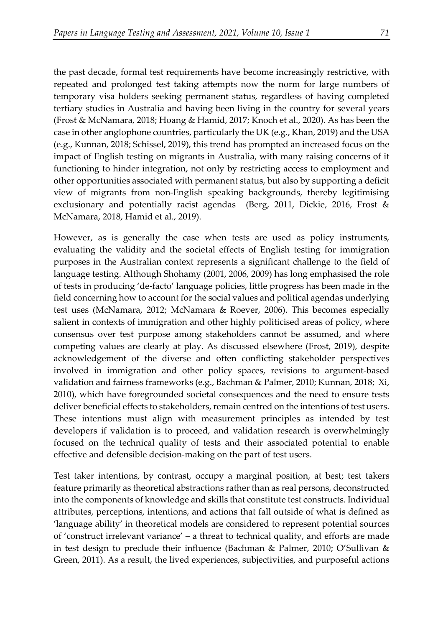the past decade, formal test requirements have become increasingly restrictive, with repeated and prolonged test taking attempts now the norm for large numbers of temporary visa holders seeking permanent status, regardless of having completed tertiary studies in Australia and having been living in the country for several years (Frost & McNamara, 2018; Hoang & Hamid, 2017; Knoch et al., 2020). As has been the case in other anglophone countries, particularly the UK (e.g., Khan, 2019) and the USA (e.g., Kunnan, 2018; Schissel, 2019), this trend has prompted an increased focus on the impact of English testing on migrants in Australia, with many raising concerns of it functioning to hinder integration, not only by restricting access to employment and other opportunities associated with permanent status, but also by supporting a deficit view of migrants from non-English speaking backgrounds, thereby legitimising exclusionary and potentially racist agendas (Berg, 2011, Dickie, 2016, Frost & McNamara, 2018, Hamid et al., 2019).

However, as is generally the case when tests are used as policy instruments, evaluating the validity and the societal effects of English testing for immigration purposes in the Australian context represents a significant challenge to the field of language testing. Although Shohamy (2001, 2006, 2009) has long emphasised the role of tests in producing 'de-facto' language policies, little progress has been made in the field concerning how to account for the social values and political agendas underlying test uses (McNamara, 2012; McNamara & Roever, 2006). This becomes especially salient in contexts of immigration and other highly politicised areas of policy, where consensus over test purpose among stakeholders cannot be assumed, and where competing values are clearly at play. As discussed elsewhere (Frost, 2019), despite acknowledgement of the diverse and often conflicting stakeholder perspectives involved in immigration and other policy spaces, revisions to argument-based validation and fairness frameworks (e.g., Bachman & Palmer, 2010; Kunnan, 2018; Xi, 2010), which have foregrounded societal consequences and the need to ensure tests deliver beneficial effects to stakeholders, remain centred on the intentions of test users. These intentions must align with measurement principles as intended by test developers if validation is to proceed, and validation research is overwhelmingly focused on the technical quality of tests and their associated potential to enable effective and defensible decision-making on the part of test users.

Test taker intentions, by contrast, occupy a marginal position, at best; test takers feature primarily as theoretical abstractions rather than as real persons, deconstructed into the components of knowledge and skills that constitute test constructs. Individual attributes, perceptions, intentions, and actions that fall outside of what is defined as 'language ability' in theoretical models are considered to represent potential sources of 'construct irrelevant variance' – a threat to technical quality, and efforts are made in test design to preclude their influence (Bachman & Palmer, 2010; O'Sullivan & Green, 2011). As a result, the lived experiences, subjectivities, and purposeful actions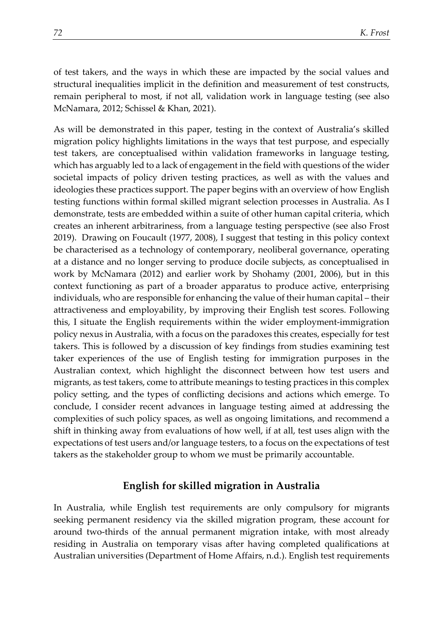of test takers, and the ways in which these are impacted by the social values and structural inequalities implicit in the definition and measurement of test constructs, remain peripheral to most, if not all, validation work in language testing (see also McNamara, 2012; Schissel & Khan, 2021).

As will be demonstrated in this paper, testing in the context of Australia's skilled migration policy highlights limitations in the ways that test purpose, and especially test takers, are conceptualised within validation frameworks in language testing, which has arguably led to a lack of engagement in the field with questions of the wider societal impacts of policy driven testing practices, as well as with the values and ideologies these practices support. The paper begins with an overview of how English testing functions within formal skilled migrant selection processes in Australia. As I demonstrate, tests are embedded within a suite of other human capital criteria, which creates an inherent arbitrariness, from a language testing perspective (see also Frost 2019). Drawing on Foucault (1977, 2008), I suggest that testing in this policy context be characterised as a technology of contemporary, neoliberal governance, operating at a distance and no longer serving to produce docile subjects, as conceptualised in work by McNamara (2012) and earlier work by Shohamy (2001, 2006), but in this context functioning as part of a broader apparatus to produce active, enterprising individuals, who are responsible for enhancing the value of their human capital – their attractiveness and employability, by improving their English test scores. Following this, I situate the English requirements within the wider employment-immigration policy nexus in Australia, with a focus on the paradoxes this creates, especially for test takers. This is followed by a discussion of key findings from studies examining test taker experiences of the use of English testing for immigration purposes in the Australian context, which highlight the disconnect between how test users and migrants, as test takers, come to attribute meanings to testing practices in this complex policy setting, and the types of conflicting decisions and actions which emerge. To conclude, I consider recent advances in language testing aimed at addressing the complexities of such policy spaces, as well as ongoing limitations, and recommend a shift in thinking away from evaluations of how well, if at all, test uses align with the expectations of test users and/or language testers, to a focus on the expectations of test takers as the stakeholder group to whom we must be primarily accountable.

## **English for skilled migration in Australia**

In Australia, while English test requirements are only compulsory for migrants seeking permanent residency via the skilled migration program, these account for around two-thirds of the annual permanent migration intake, with most already residing in Australia on temporary visas after having completed qualifications at Australian universities (Department of Home Affairs, n.d.). English test requirements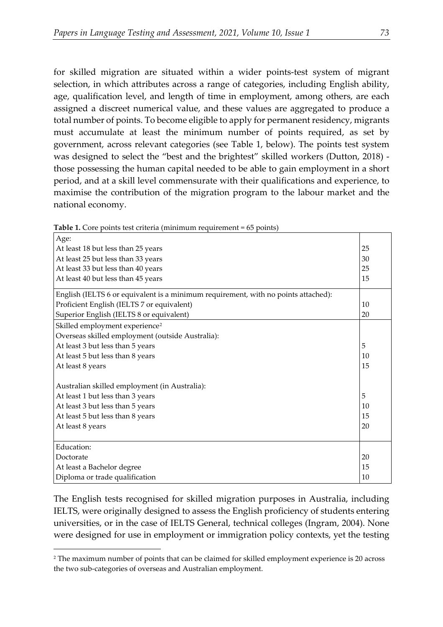for skilled migration are situated within a wider points-test system of migrant selection, in which attributes across a range of categories, including English ability, age, qualification level, and length of time in employment, among others, are each assigned a discreet numerical value, and these values are aggregated to produce a total number of points. To become eligible to apply for permanent residency, migrants must accumulate at least the minimum number of points required, as set by government, across relevant categories (see Table 1, below). The points test system was designed to select the "best and the brightest" skilled workers (Dutton, 2018) those possessing the human capital needed to be able to gain employment in a short period, and at a skill level commensurate with their qualifications and experience, to maximise the contribution of the migration program to the labour market and the national economy.

| Age:                                                                               |    |
|------------------------------------------------------------------------------------|----|
| At least 18 but less than 25 years                                                 | 25 |
| At least 25 but less than 33 years                                                 | 30 |
| At least 33 but less than 40 years                                                 | 25 |
| At least 40 but less than 45 years                                                 | 15 |
| English (IELTS 6 or equivalent is a minimum requirement, with no points attached): |    |
| Proficient English (IELTS 7 or equivalent)                                         | 10 |
| Superior English (IELTS 8 or equivalent)                                           | 20 |
| Skilled employment experience <sup>2</sup>                                         |    |
| Overseas skilled employment (outside Australia):                                   |    |
| At least 3 but less than 5 years                                                   | 5  |
| At least 5 but less than 8 years                                                   | 10 |
| At least 8 years                                                                   | 15 |
|                                                                                    |    |
| Australian skilled employment (in Australia):                                      |    |
| At least 1 but less than 3 years                                                   | 5  |
| At least 3 but less than 5 years                                                   | 10 |
| At least 5 but less than 8 years                                                   | 15 |
| At least 8 years                                                                   | 20 |
|                                                                                    |    |
| Education:                                                                         |    |
| Doctorate                                                                          | 20 |
| At least a Bachelor degree                                                         | 15 |
| Diploma or trade qualification                                                     | 10 |

**Table 1.** Core points test criteria (minimum requirement = 65 points)

The English tests recognised for skilled migration purposes in Australia, including IELTS, were originally designed to assess the English proficiency of students entering universities, or in the case of IELTS General, technical colleges (Ingram, 2004). None were designed for use in employment or immigration policy contexts, yet the testing

<span id="page-3-0"></span><sup>2</sup> The maximum number of points that can be claimed for skilled employment experience is 20 across the two sub-categories of overseas and Australian employment.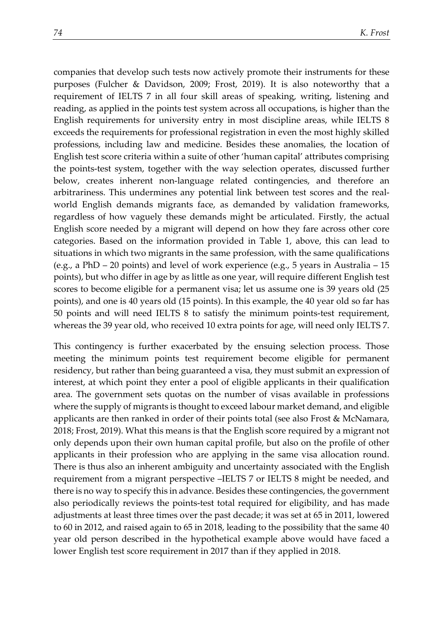companies that develop such tests now actively promote their instruments for these purposes (Fulcher & Davidson, 2009; Frost, 2019). It is also noteworthy that a requirement of IELTS 7 in all four skill areas of speaking, writing, listening and reading, as applied in the points test system across all occupations, is higher than the English requirements for university entry in most discipline areas, while IELTS 8 exceeds the requirements for professional registration in even the most highly skilled professions, including law and medicine. Besides these anomalies, the location of English test score criteria within a suite of other 'human capital' attributes comprising the points-test system, together with the way selection operates, discussed further below, creates inherent non-language related contingencies, and therefore an arbitrariness. This undermines any potential link between test scores and the realworld English demands migrants face, as demanded by validation frameworks, regardless of how vaguely these demands might be articulated. Firstly, the actual English score needed by a migrant will depend on how they fare across other core categories. Based on the information provided in Table 1, above, this can lead to situations in which two migrants in the same profession, with the same qualifications (e.g., a PhD – 20 points) and level of work experience (e.g., 5 years in Australia – 15 points), but who differ in age by as little as one year, will require different English test scores to become eligible for a permanent visa; let us assume one is 39 years old (25 points), and one is 40 years old (15 points). In this example, the 40 year old so far has 50 points and will need IELTS 8 to satisfy the minimum points-test requirement, whereas the 39 year old, who received 10 extra points for age, will need only IELTS 7.

This contingency is further exacerbated by the ensuing selection process. Those meeting the minimum points test requirement become eligible for permanent residency, but rather than being guaranteed a visa, they must submit an expression of interest, at which point they enter a pool of eligible applicants in their qualification area. The government sets quotas on the number of visas available in professions where the supply of migrants is thought to exceed labour market demand, and eligible applicants are then ranked in order of their points total (see also Frost & McNamara, 2018; Frost, 2019). What this means is that the English score required by a migrant not only depends upon their own human capital profile, but also on the profile of other applicants in their profession who are applying in the same visa allocation round. There is thus also an inherent ambiguity and uncertainty associated with the English requirement from a migrant perspective –IELTS 7 or IELTS 8 might be needed, and there is no way to specify this in advance. Besides these contingencies, the government also periodically reviews the points-test total required for eligibility, and has made adjustments at least three times over the past decade; it was set at 65 in 2011, lowered to 60 in 2012, and raised again to 65 in 2018, leading to the possibility that the same 40 year old person described in the hypothetical example above would have faced a lower English test score requirement in 2017 than if they applied in 2018.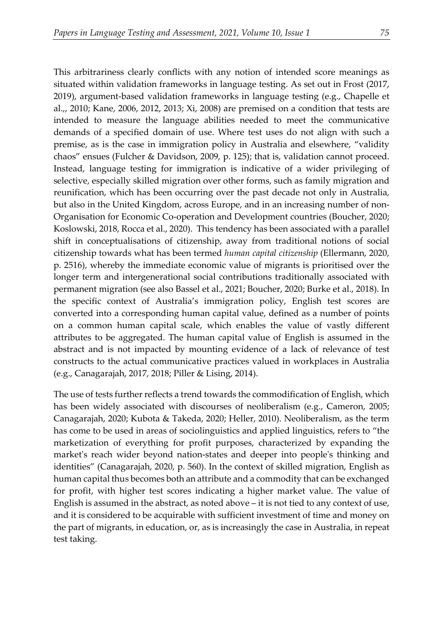This arbitrariness clearly conflicts with any notion of intended score meanings as situated within validation frameworks in language testing. As set out in Frost (2017, 2019), argument-based validation frameworks in language testing (e.g., Chapelle et al.,, 2010; Kane, 2006, 2012, 2013; Xi, 2008) are premised on a condition that tests are intended to measure the language abilities needed to meet the communicative demands of a specified domain of use. Where test uses do not align with such a premise, as is the case in immigration policy in Australia and elsewhere, "validity chaos" ensues (Fulcher & Davidson, 2009, p. 125); that is, validation cannot proceed. Instead, language testing for immigration is indicative of a wider privileging of selective, especially skilled migration over other forms, such as family migration and reunification, which has been occurring over the past decade not only in Australia, but also in the United Kingdom, across Europe, and in an increasing number of non-Organisation for Economic Co-operation and Development countries (Boucher, 2020; Koslowski, 2018, Rocca et al., 2020). This tendency has been associated with a parallel shift in conceptualisations of citizenship, away from traditional notions of social citizenship towards what has been termed *human capital citizenship* (Ellermann, 2020, p. 2516), whereby the immediate economic value of migrants is prioritised over the longer term and intergenerational social contributions traditionally associated with permanent migration (see also Bassel et al., 2021; Boucher, 2020; Burke et al., 2018). In the specific context of Australia's immigration policy, English test scores are converted into a corresponding human capital value, defined as a number of points on a common human capital scale, which enables the value of vastly different attributes to be aggregated. The human capital value of English is assumed in the abstract and is not impacted by mounting evidence of a lack of relevance of test constructs to the actual communicative practices valued in workplaces in Australia (e.g., Canagarajah, 2017, 2018; Piller & Lising, 2014).

The use of tests further reflects a trend towards the commodification of English, which has been widely associated with discourses of neoliberalism (e.g., Cameron, 2005; Canagarajah, 2020; Kubota & Takeda, 2020; Heller, 2010). Neoliberalism, as the term has come to be used in areas of sociolinguistics and applied linguistics, refers to "the marketization of everything for profit purposes, characterized by expanding the market's reach wider beyond nation-states and deeper into people's thinking and identities" (Canagarajah, 2020, p. 560). In the context of skilled migration, English as human capital thus becomes both an attribute and a commodity that can be exchanged for profit, with higher test scores indicating a higher market value. The value of English is assumed in the abstract, as noted above  $-$  it is not tied to any context of use, and it is considered to be acquirable with sufficient investment of time and money on the part of migrants, in education, or, as is increasingly the case in Australia, in repeat test taking.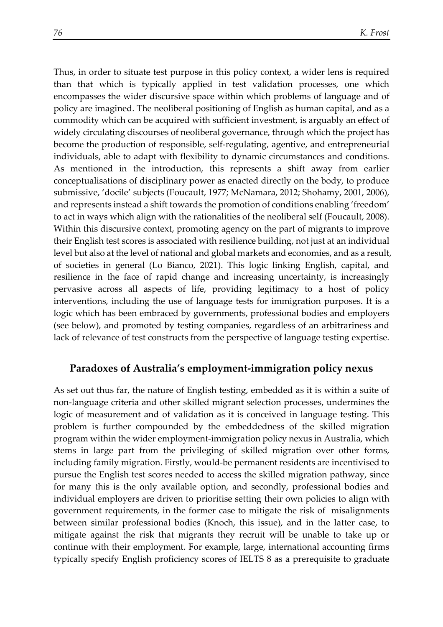Thus, in order to situate test purpose in this policy context, a wider lens is required than that which is typically applied in test validation processes, one which encompasses the wider discursive space within which problems of language and of policy are imagined. The neoliberal positioning of English as human capital, and as a commodity which can be acquired with sufficient investment, is arguably an effect of widely circulating discourses of neoliberal governance, through which the project has become the production of responsible, self-regulating, agentive, and entrepreneurial individuals, able to adapt with flexibility to dynamic circumstances and conditions. As mentioned in the introduction, this represents a shift away from earlier conceptualisations of disciplinary power as enacted directly on the body, to produce submissive, 'docile' subjects (Foucault, 1977; McNamara, 2012; Shohamy, 2001, 2006), and represents instead a shift towards the promotion of conditions enabling 'freedom' to act in ways which align with the rationalities of the neoliberal self (Foucault, 2008). Within this discursive context, promoting agency on the part of migrants to improve their English test scores is associated with resilience building, not just at an individual level but also at the level of national and global markets and economies, and as a result, of societies in general (Lo Bianco, 2021). This logic linking English, capital, and resilience in the face of rapid change and increasing uncertainty, is increasingly pervasive across all aspects of life, providing legitimacy to a host of policy interventions, including the use of language tests for immigration purposes. It is a logic which has been embraced by governments, professional bodies and employers (see below), and promoted by testing companies, regardless of an arbitrariness and lack of relevance of test constructs from the perspective of language testing expertise.

## **Paradoxes of Australia's employment-immigration policy nexus**

As set out thus far, the nature of English testing, embedded as it is within a suite of non-language criteria and other skilled migrant selection processes, undermines the logic of measurement and of validation as it is conceived in language testing. This problem is further compounded by the embeddedness of the skilled migration program within the wider employment-immigration policy nexus in Australia, which stems in large part from the privileging of skilled migration over other forms, including family migration. Firstly, would-be permanent residents are incentivised to pursue the English test scores needed to access the skilled migration pathway, since for many this is the only available option, and secondly, professional bodies and individual employers are driven to prioritise setting their own policies to align with government requirements, in the former case to mitigate the risk of misalignments between similar professional bodies (Knoch, this issue), and in the latter case, to mitigate against the risk that migrants they recruit will be unable to take up or continue with their employment. For example, large, international accounting firms typically specify English proficiency scores of IELTS 8 as a prerequisite to graduate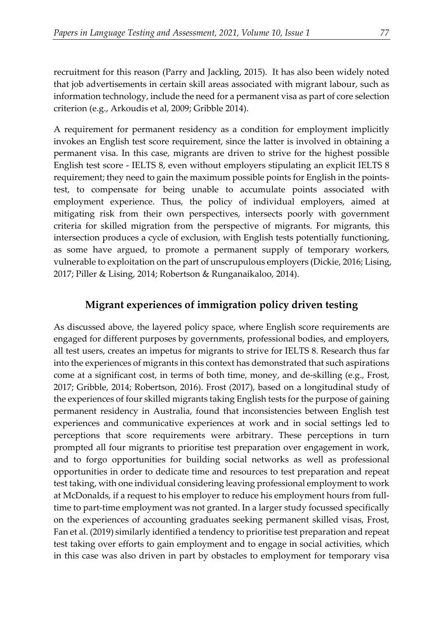recruitment for this reason (Parry and Jackling, 2015). It has also been widely noted that job advertisements in certain skill areas associated with migrant labour, such as information technology, include the need for a permanent visa as part of core selection criterion (e.g., Arkoudis et al, 2009; Gribble 2014).

A requirement for permanent residency as a condition for employment implicitly invokes an English test score requirement, since the latter is involved in obtaining a permanent visa. In this case, migrants are driven to strive for the highest possible English test score - IELTS 8, even without employers stipulating an explicit IELTS 8 requirement; they need to gain the maximum possible points for English in the pointstest, to compensate for being unable to accumulate points associated with employment experience. Thus, the policy of individual employers, aimed at mitigating risk from their own perspectives, intersects poorly with government criteria for skilled migration from the perspective of migrants. For migrants, this intersection produces a cycle of exclusion, with English tests potentially functioning, as some have argued, to promote a permanent supply of temporary workers, vulnerable to exploitation on the part of unscrupulous employers (Dickie, 2016; Lising, 2017; Piller & Lising, 2014; Robertson & Runganaikaloo, 2014).

# **Migrant experiences of immigration policy driven testing**

As discussed above, the layered policy space, where English score requirements are engaged for different purposes by governments, professional bodies, and employers, all test users, creates an impetus for migrants to strive for IELTS 8. Research thus far into the experiences of migrants in this context has demonstrated that such aspirations come at a significant cost, in terms of both time, money, and de-skilling (e.g., Frost, 2017; Gribble, 2014; Robertson, 2016). Frost (2017), based on a longitudinal study of the experiences of four skilled migrants taking English tests for the purpose of gaining permanent residency in Australia, found that inconsistencies between English test experiences and communicative experiences at work and in social settings led to perceptions that score requirements were arbitrary. These perceptions in turn prompted all four migrants to prioritise test preparation over engagement in work, and to forgo opportunities for building social networks as well as professional opportunities in order to dedicate time and resources to test preparation and repeat test taking, with one individual considering leaving professional employment to work at McDonalds, if a request to his employer to reduce his employment hours from fulltime to part-time employment was not granted. In a larger study focussed specifically on the experiences of accounting graduates seeking permanent skilled visas, Frost, Fan et al. (2019) similarly identified a tendency to prioritise test preparation and repeat test taking over efforts to gain employment and to engage in social activities, which in this case was also driven in part by obstacles to employment for temporary visa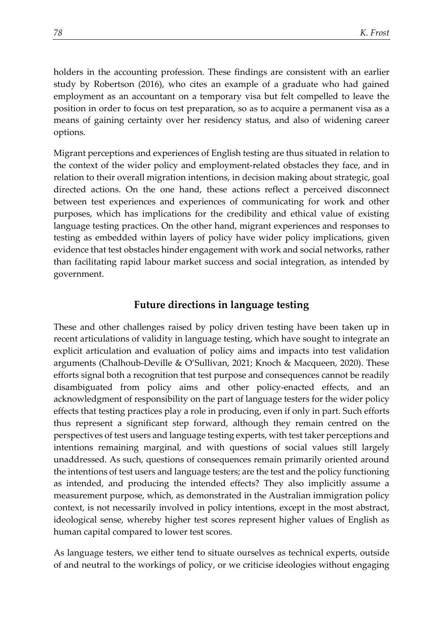holders in the accounting profession. These findings are consistent with an earlier study by Robertson (2016), who cites an example of a graduate who had gained employment as an accountant on a temporary visa but felt compelled to leave the position in order to focus on test preparation, so as to acquire a permanent visa as a means of gaining certainty over her residency status, and also of widening career options.

Migrant perceptions and experiences of English testing are thus situated in relation to the context of the wider policy and employment-related obstacles they face, and in relation to their overall migration intentions, in decision making about strategic, goal directed actions. On the one hand, these actions reflect a perceived disconnect between test experiences and experiences of communicating for work and other purposes, which has implications for the credibility and ethical value of existing language testing practices. On the other hand, migrant experiences and responses to testing as embedded within layers of policy have wider policy implications, given evidence that test obstacles hinder engagement with work and social networks, rather than facilitating rapid labour market success and social integration, as intended by government.

#### **Future directions in language testing**

These and other challenges raised by policy driven testing have been taken up in recent articulations of validity in language testing, which have sought to integrate an explicit articulation and evaluation of policy aims and impacts into test validation arguments (Chalhoub-Deville & O'Sullivan, 2021; Knoch & Macqueen, 2020). These efforts signal both a recognition that test purpose and consequences cannot be readily disambiguated from policy aims and other policy-enacted effects, and an acknowledgment of responsibility on the part of language testers for the wider policy effects that testing practices play a role in producing, even if only in part. Such efforts thus represent a significant step forward, although they remain centred on the perspectives of test users and language testing experts, with test taker perceptions and intentions remaining marginal, and with questions of social values still largely unaddressed. As such, questions of consequences remain primarily oriented around the intentions of test users and language testers; are the test and the policy functioning as intended, and producing the intended effects? They also implicitly assume a measurement purpose, which, as demonstrated in the Australian immigration policy context, is not necessarily involved in policy intentions, except in the most abstract, ideological sense, whereby higher test scores represent higher values of English as human capital compared to lower test scores.

As language testers, we either tend to situate ourselves as technical experts, outside of and neutral to the workings of policy, or we criticise ideologies without engaging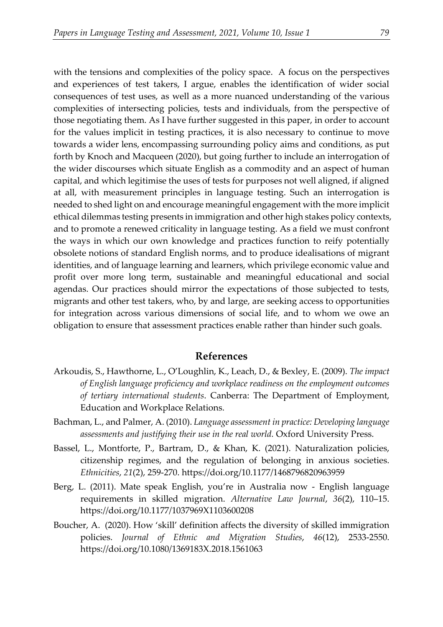with the tensions and complexities of the policy space. A focus on the perspectives and experiences of test takers, I argue, enables the identification of wider social consequences of test uses, as well as a more nuanced understanding of the various complexities of intersecting policies, tests and individuals, from the perspective of those negotiating them. As I have further suggested in this paper, in order to account for the values implicit in testing practices, it is also necessary to continue to move towards a wider lens, encompassing surrounding policy aims and conditions, as put forth by Knoch and Macqueen (2020), but going further to include an interrogation of the wider discourses which situate English as a commodity and an aspect of human capital, and which legitimise the uses of tests for purposes not well aligned, if aligned at all, with measurement principles in language testing. Such an interrogation is needed to shed light on and encourage meaningful engagement with the more implicit ethical dilemmas testing presents in immigration and other high stakes policy contexts, and to promote a renewed criticality in language testing. As a field we must confront the ways in which our own knowledge and practices function to reify potentially obsolete notions of standard English norms, and to produce idealisations of migrant identities, and of language learning and learners, which privilege economic value and profit over more long term, sustainable and meaningful educational and social agendas. Our practices should mirror the expectations of those subjected to tests, migrants and other test takers, who, by and large, are seeking access to opportunities for integration across various dimensions of social life, and to whom we owe an

#### **References**

obligation to ensure that assessment practices enable rather than hinder such goals.

- Arkoudis, S., Hawthorne, L., O'Loughlin, K., Leach, D., & Bexley, E. (2009). *The impact of English language proficiency and workplace readiness on the employment outcomes of tertiary international students*. Canberra: The Department of Employment, Education and Workplace Relations.
- Bachman, L., and Palmer, A. (2010). *Language assessment in practice: Developing language assessments and justifying their use in the real world.* Oxford University Press.
- Bassel, L., Montforte, P., Bartram, D., & Khan, K. (2021). Naturalization policies, citizenship regimes, and the regulation of belonging in anxious societies. *Ethnicities*, *21*(2), 259-270. https://doi.org/10.1177/1468796820963959
- Berg, L. (2011). Mate speak English, you're in Australia now English language requirements in skilled migration. *Alternative Law Journal*, *36*(2), 110–15. https://doi.org/10.1177/1037969X1103600208
- Boucher, A. (2020). How 'skill' definition affects the diversity of skilled immigration policies. *Journal of Ethnic and Migration Studies*, *46*(12), 2533-2550. https://doi.org/10.1080/1369183X.2018.1561063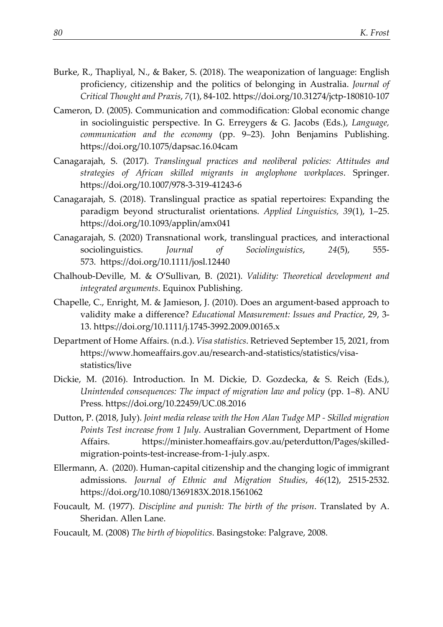- Burke, R., Thapliyal, N., & Baker, S. (2018). The weaponization of language: English proficiency, citizenship and the politics of belonging in Australia. *Journal of Critical Thought and Praxis*, *7*(1), 84-102. https://doi.org/10.31274/jctp-180810-107
- Cameron, D. (2005). Communication and commodification: Global economic change in sociolinguistic perspective. In G. Erreygers & G. Jacobs (Eds.), *Language, communication and the economy* (pp. 9–23). John Benjamins Publishing. https://doi.org/10.1075/dapsac.16.04cam
- Canagarajah, S. (2017). *Translingual practices and neoliberal policies: Attitudes and strategies of African skilled migrants in anglophone workplaces*. Springer. https://doi.org/10.1007/978-3-319-41243-6
- Canagarajah, S. (2018). Translingual practice as spatial repertoires: Expanding the paradigm beyond structuralist orientations. *Applied Linguistics, 39*(1), 1–25. https://doi.org/10.1093/applin/amx041
- Canagarajah, S. (2020) Transnational work, translingual practices, and interactional sociolinguistics. *Journal of Sociolinguistics*, *24*(5), 555- 573. https://doi.org/10.1111/josl.12440
- Chalhoub-Deville, M. & O'Sullivan, B. (2021). *Validity: Theoretical development and integrated arguments*. Equinox Publishing.
- Chapelle, C., Enright, M. & Jamieson, J. (2010). Does an argument-based approach to validity make a difference? *Educational Measurement: Issues and Practice*, 29, 3- 13. https://doi.org/10.1111/j.1745-3992.2009.00165.x
- Department of Home Affairs. (n.d.). *Visa statistics*. Retrieved September 15, 2021, from https://www.homeaffairs.gov.au/research-and-statistics/statistics/visastatistics/live
- Dickie, M. (2016). Introduction. In M. Dickie, D. Gozdecka, & S. Reich (Eds.), *Unintended consequences: The impact of migration law and policy* (pp. 1–8). ANU Press. https://doi.org/10.22459/UC.08.2016
- Dutton, P. (2018, July). *Joint media release with the Hon Alan Tudge MP - Skilled migration Points Test increase from 1 July*. Australian Government, Department of Home Affairs. https://minister.homeaffairs.gov.au/peterdutton/Pages/skilledmigration-points-test-increase-from-1-july.aspx.
- Ellermann, A. (2020). Human-capital citizenship and the changing logic of immigrant admissions. *Journal of Ethnic and Migration Studies*, *46*(12), 2515-2532. https://doi.org/10.1080/1369183X.2018.1561062
- Foucault, M. (1977). *Discipline and punish: The birth of the prison*. Translated by A. Sheridan. Allen Lane.
- Foucault, M. (2008) *The birth of biopolitics*. Basingstoke: Palgrave, 2008.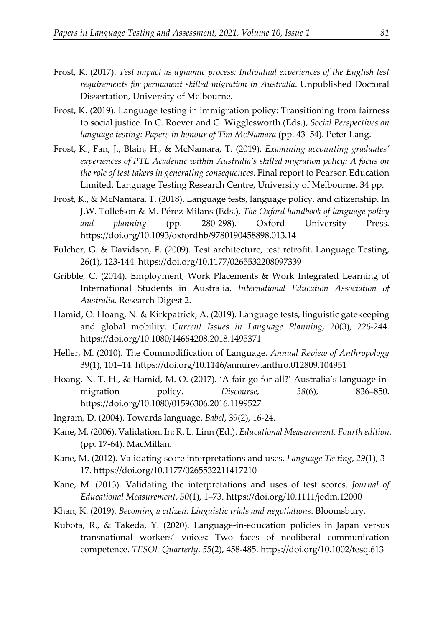- Frost, K. (2017). *Test impact as dynamic process: Individual experiences of the English test requirements for permanent skilled migration in Australia*. Unpublished Doctoral Dissertation, University of Melbourne.
- Frost, K. (2019). Language testing in immigration policy: Transitioning from fairness to social justice. In C. Roever and G. Wigglesworth (Eds.), *Social Perspectives on language testing: Papers in honour of Tim McNamara* (pp. 43–54). Peter Lang.
- Frost, K., Fan, J., Blain, H., & McNamara, T. (2019). *Examining accounting graduates' experiences of PTE Academic within Australia's skilled migration policy: A focus on the role of test takers in generating consequences*. Final report to Pearson Education Limited. Language Testing Research Centre, University of Melbourne. 34 pp.
- Frost, K., & McNamara, T. (2018). Language tests, language policy, and citizenship. In J.W. Tollefson & M. Pérez-Milans (Eds.), *The Oxford handbook of language policy and planning* (pp. 280-298). Oxford University Press. https://doi.org/10.1093/oxfordhb/9780190458898.013.14
- Fulcher, G. & Davidson, F. (2009). Test architecture, test retrofit. Language Testing, 26(1), 123-144. https://doi.org/10.1177/0265532208097339
- Gribble, C. (2014). Employment, Work Placements & Work Integrated Learning of International Students in Australia. *International Education Association of Australia,* Research Digest 2.
- Hamid, O. Hoang, N. & Kirkpatrick, A. (2019). Language tests, linguistic gatekeeping and global mobility. *Current Issues in Language Planning*, *20*(3), 226-244. https://doi.org/10.1080/14664208.2018.1495371
- Heller, M. (2010). The Commodification of Language. *Annual Review of Anthropology* 39(1), 101–14. https://doi.org/10.1146/annurev.anthro.012809.104951
- Hoang, N. T. H., & Hamid, M. O. (2017). 'A fair go for all?' Australia's language-inmigration policy. *Discourse*, 38(6), 836–850. https://doi.org/10.1080/01596306.2016.1199527
- Ingram, D. (2004). Towards language. *Babel*, 39(2), 16-24.
- Kane, M. (2006). Validation. In: R. L. Linn (Ed.). *Educational Measurement. Fourth edition.* (pp. 17-64). MacMillan.
- Kane, M. (2012). Validating score interpretations and uses. *Language Testing*, *29*(1), 3– 17. https://doi.org/10.1177/0265532211417210
- Kane, M. (2013). Validating the interpretations and uses of test scores. *Journal of Educational Measurement*, *50*(1), 1–73. https://doi.org/10.1111/jedm.12000
- Khan, K. (2019). *Becoming a citizen: Linguistic trials and negotiations*. Bloomsbury.
- Kubota, R., & Takeda, Y. (2020). Language-in-education policies in Japan versus transnational workers' voices: Two faces of neoliberal communication competence. *TESOL Quarterly*, *55*(2), 458-485. https://doi.org/10.1002/tesq.613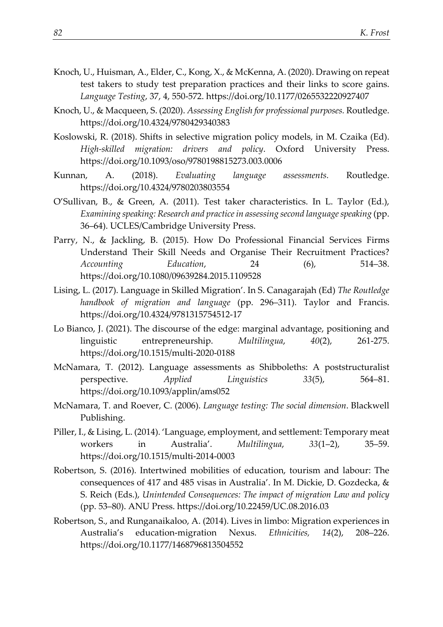- Knoch, U., Huisman, A., Elder, C., Kong, X., & McKenna, A. (2020). Drawing on repeat test takers to study test preparation practices and their links to score gains. *Language Testing*, 37, 4, 550-572. https://doi.org/10.1177/0265532220927407
- Knoch, U., & Macqueen, S. (2020). *Assessing English for professional purposes.* Routledge. https://doi.org/10.4324/9780429340383
- Koslowski, R. (2018). Shifts in selective migration policy models, in M. Czaika (Ed). *High-skilled migration: drivers and policy*. Oxford University Press. https://doi.org/10.1093/oso/9780198815273.003.0006
- Kunnan, A. (2018). *Evaluating language assessments.* Routledge. https://doi.org/10.4324/9780203803554
- O'Sullivan, B., & Green, A. (2011). Test taker characteristics. In L. Taylor (Ed.), *Examining speaking: Research and practice in assessing second language speaking* (pp. 36–64). UCLES/Cambridge University Press.
- Parry, N., & Jackling, B. (2015). How Do Professional Financial Services Firms Understand Their Skill Needs and Organise Their Recruitment Practices? *Accounting Education*, 24 (6), 514–38. https://doi.org/10.1080/09639284.2015.1109528
- Lising, L. (2017). Language in Skilled Migration'. In S. Canagarajah (Ed) *The Routledge handbook of migration and language* (pp. 296–311). Taylor and Francis. https://doi.org/10.4324/9781315754512-17
- Lo Bianco, J. (2021). The discourse of the edge: marginal advantage, positioning and linguistic entrepreneurship. *Multilingua*, *40*(2), 261-275. https://doi.org/10.1515/multi-2020-0188
- McNamara, T. (2012). Language assessments as Shibboleths: A poststructuralist perspective. *Applied Linguistics 33*(5), 564–81. https://doi.org/10.1093/applin/ams052
- McNamara, T. and Roever, C. (2006). *Language testing: The social dimension*. Blackwell Publishing.
- Piller, I., & Lising, L. (2014). 'Language, employment, and settlement: Temporary meat workers in Australia'. *Multilingua*, *33*(1–2), 35–59. https://doi.org/10.1515/multi-2014-0003
- Robertson, S. (2016). Intertwined mobilities of education, tourism and labour: The consequences of 417 and 485 visas in Australia'. In M. Dickie, D. Gozdecka, & S. Reich (Eds.), *Unintended Consequences: The impact of migration Law and policy* (pp. 53–80). ANU Press. https://doi.org/10.22459/UC.08.2016.03
- Robertson, S., and Runganaikaloo, A. (2014). Lives in limbo: Migration experiences in Australia's education-migration Nexus. *Ethnicities, 14*(2), 208–226. https://doi.org/10.1177/1468796813504552